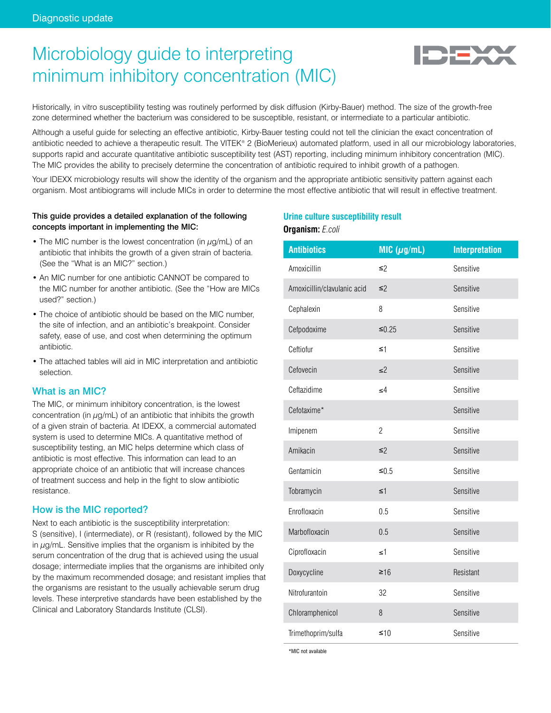# Microbiology guide to interpreting minimum inhibitory concentration (MIC)



Historically, in vitro susceptibility testing was routinely performed by disk diffusion (Kirby-Bauer) method. The size of the growth-free zone determined whether the bacterium was considered to be susceptible, resistant, or intermediate to a particular antibiotic.

Although a useful guide for selecting an effective antibiotic, Kirby-Bauer testing could not tell the clinician the exact concentration of antibiotic needed to achieve a therapeutic result. The VITEK® 2 (BioMerieux) automated platform, used in all our microbiology laboratories, supports rapid and accurate quantitative antibiotic susceptibility test (AST) reporting, including minimum inhibitory concentration (MIC). The MIC provides the ability to precisely determine the concentration of antibiotic required to inhibit growth of a pathogen.

Your IDEXX microbiology results will show the identity of the organism and the appropriate antibiotic sensitivity pattern against each organism. Most antibiograms will include MICs in order to determine the most effective antibiotic that will result in effective treatment.

## This guide provides a detailed explanation of the following concepts important in implementing the MIC:

- The MIC number is the lowest concentration (in  $\mu q/mL$ ) of an antibiotic that inhibits the growth of a given strain of bacteria. (See the "What is an MIC?" section.)
- An MIC number for one antibiotic CANNOT be compared to the MIC number for another antibiotic. (See the "How are MICs used?" section.)
- The choice of antibiotic should be based on the MIC number, the site of infection, and an antibiotic's breakpoint. Consider safety, ease of use, and cost when determining the optimum antibiotic.
- The attached tables will aid in MIC interpretation and antibiotic selection.

# What is an MIC?

The MIC, or minimum inhibitory concentration, is the lowest concentration (in μg/mL) of an antibiotic that inhibits the growth of a given strain of bacteria. At IDEXX, a commercial automated system is used to determine MICs. A quantitative method of susceptibility testing, an MIC helps determine which class of antibiotic is most effective. This information can lead to an appropriate choice of an antibiotic that will increase chances of treatment success and help in the fight to slow antibiotic resistance.

# How is the MIC reported?

Next to each antibiotic is the susceptibility interpretation: S (sensitive), I (intermediate), or R (resistant), followed by the MIC in  $\mu$ g/mL. Sensitive implies that the organism is inhibited by the serum concentration of the drug that is achieved using the usual dosage; intermediate implies that the organisms are inhibited only by the maximum recommended dosage; and resistant implies that the organisms are resistant to the usually achievable serum drug levels. These interpretive standards have been established by the Clinical and Laboratory Standards Institute (CLSI).

# **Urine culture susceptibility result Organism:** *E.coli*

| <b>Antibiotics</b>          | MIC $(\mu$ g/mL) | <b>Interpretation</b> |
|-----------------------------|------------------|-----------------------|
| Amoxicillin                 | ≤2               | Sensitive             |
| Amoxicillin/clavulanic acid | $\leq$ 2         | Sensitive             |
| Cephalexin                  | 8                | Sensitive             |
| Cefpodoxime                 | $≤0.25$          | Sensitive             |
| Ceftiofur                   | $\leq$ 1         | Sensitive             |
| Cefovecin                   | $\leq$ 2         | Sensitive             |
| Ceftazidime                 | $\leq 4$         | Sensitive             |
| Cefotaxime*                 |                  | Sensitive             |
| Imipenem                    | $\overline{2}$   | Sensitive             |
| Amikacin                    | $\leq$ 2         | Sensitive             |
| Gentamicin                  | $≤0.5$           | Sensitive             |
| Tobramycin                  | $\leq 1$         | Sensitive             |
| Enrofloxacin                | 0.5              | Sensitive             |
| Marbofloxacin               | 0.5              | Sensitive             |
| Ciprofloxacin               | $\leq$ 1         | Sensitive             |
| Doxycycline                 | $\geq 16$        | Resistant             |
| Nitrofurantoin              | 32               | Sensitive             |
| Chloramphenicol             | 8                | Sensitive             |
| Trimethoprim/sulfa          | $\leq 10$        | Sensitive             |

\*MIC not available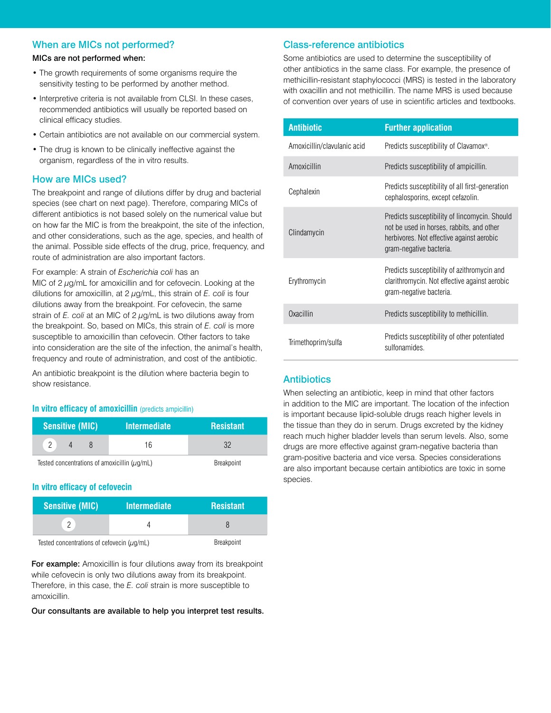# When are MICs not performed?

### MICs are not performed when:

- The growth requirements of some organisms require the sensitivity testing to be performed by another method.
- Interpretive criteria is not available from CLSI. In these cases, recommended antibiotics will usually be reported based on clinical efficacy studies.
- Certain antibiotics are not available on our commercial system.
- The drug is known to be clinically ineffective against the organism, regardless of the in vitro results.

## How are MICs used?

The breakpoint and range of dilutions differ by drug and bacterial species (see chart on next page). Therefore, comparing MICs of different antibiotics is not based solely on the numerical value but on how far the MIC is from the breakpoint, the site of the infection, and other considerations, such as the age, species, and health of the animal. Possible side effects of the drug, price, frequency, and route of administration are also important factors.

#### For example: A strain of *Escherichia coli* has an

MIC of  $2 \mu g/mL$  for amoxicillin and for cefovecin. Looking at the dilutions for amoxicillin, at 2 μg/mL, this strain of *E. coli* is four dilutions away from the breakpoint. For cefovecin, the same strain of *E. coli* at an MIC of 2 μg/mL is two dilutions away from the breakpoint. So, based on MICs, this strain of *E. coli* is more susceptible to amoxicillin than cefovecin. Other factors to take into consideration are the site of the infection, the animal's health, frequency and route of administration, and cost of the antibiotic.

An antibiotic breakpoint is the dilution where bacteria begin to show resistance.

#### **In vitro efficacy of amoxicillin** (predicts ampicillin)

| <b>Sensitive (MIC)</b>                            |  | <b>Intermediate</b> | <b>Resistant</b> |
|---------------------------------------------------|--|---------------------|------------------|
| $\overline{c}$                                    |  | 16                  | 32               |
| Tested concentrations of amoxicillin $(\mu q/mL)$ |  | <b>Breakpoint</b>   |                  |

#### **In vitro efficacy of cefovecin**

| <b>Sensitive (MIC)</b>                          | <b>Intermediate</b> | <b>Resistant</b> |
|-------------------------------------------------|---------------------|------------------|
|                                                 |                     |                  |
| Tested concentrations of cefovecin $(\mu g/mL)$ |                     | Breakpoint       |

For example: Amoxicillin is four dilutions away from its breakpoint while cefovecin is only two dilutions away from its breakpoint. Therefore, in this case, the *E. coli* strain is more susceptible to amoxicillin.

Our consultants are available to help you interpret test results.

# Class-reference antibiotics

Some antibiotics are used to determine the susceptibility of other antibiotics in the same class. For example, the presence of methicillin-resistant staphylococci (MRS) is tested in the laboratory with oxacillin and not methicillin. The name MRS is used because of convention over years of use in scientific articles and textbooks.

| <b>Antibiotic</b>           | <b>Further application</b>                                                                                                                                         |
|-----------------------------|--------------------------------------------------------------------------------------------------------------------------------------------------------------------|
| Amoxicillin/clavulanic acid | Predicts susceptibility of Clavamox <sup>®</sup> .                                                                                                                 |
| Amoxicillin                 | Predicts susceptibility of ampicillin.                                                                                                                             |
| Cephalexin                  | Predicts susceptibility of all first-generation<br>cephalosporins, except cefazolin.                                                                               |
| Clindamycin                 | Predicts susceptibility of lincomycin. Should<br>not be used in horses, rabbits, and other<br>herbivores. Not effective against aerobic<br>gram-negative bacteria. |
| Erythromycin                | Predicts susceptibility of azithromycin and<br>clarithromycin. Not effective against aerobic<br>gram-negative bacteria.                                            |
| Oxacillin                   | Predicts susceptibility to methicillin.                                                                                                                            |
| Trimethoprim/sulfa          | Predicts susceptibility of other potentiated<br>sulfonamides.                                                                                                      |

# **Antibiotics**

When selecting an antibiotic, keep in mind that other factors in addition to the MIC are important. The location of the infection is important because lipid-soluble drugs reach higher levels in the tissue than they do in serum. Drugs excreted by the kidney reach much higher bladder levels than serum levels. Also, some drugs are more effective against gram-negative bacteria than gram-positive bacteria and vice versa. Species considerations are also important because certain antibiotics are toxic in some species.